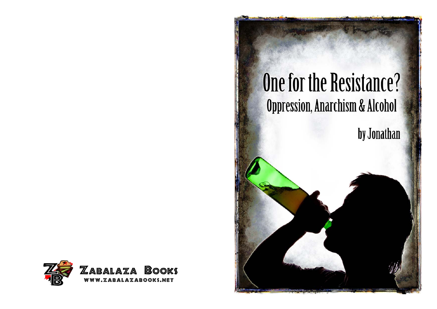

One for the Resistance?

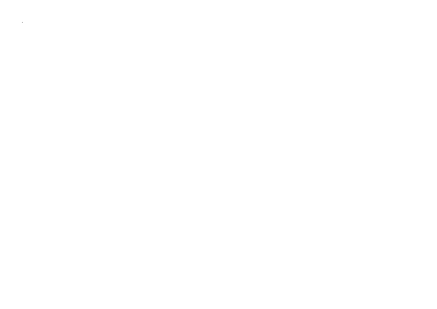$\mathbf{A}$  and  $\mathbf{A}$  are all  $\mathbf{A}$  and  $\mathbf{A}$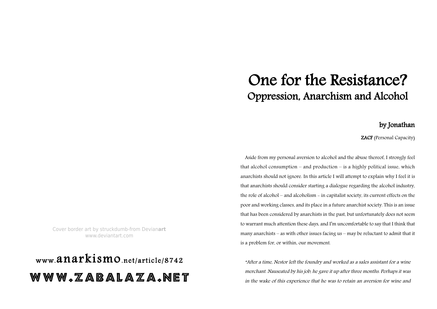## One for the Resistance? Oppression, Anarchism and Alcohol

### by Jonathan

ZACF (Personal Capacity)

Aside from my personal aversion to alcohol and the abuse thereof, I strongly feel that alcohol consumption – and production – is a highly political issue, which anarchists should not ignore. In this article I will attempt to explain why I feel it is that anarchists should consider starting a dialogue regarding the alcohol industry, the role of alcohol – and alcoholism - in capitalist society, its current effects on the poor and working classes, and its place in a future anarchist society. This is an issue that has been considered by anarchists in the past, but unfortunately does not seem to warrant much attention these days, and I'm uncomfortable to say that I think that many anarchists – as with other issues facing us – may be reluctant to admit that it is a problem for, or within, our movement.

"After a time, Nestor left the foundry and worked as a sales assistant for a wine merchant. Nauseated by his job, he gave it up after three months. Perhaps it was in the wake of this experience that he was to retain an aversion for wine and

Cover border art by struckdumb-from Devian**art** www.deviantart.com

# www.anarkismo.net/article/8742

WWW.ZABALAZA.NET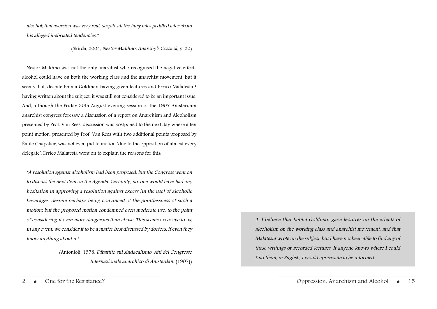alcohol; that aversion was very real, despite all the fairy tales peddled later about his alleged inebriated tendencies."

(Skirda, 2004, Nestor Makhno; Anarchy's Cossack, p. 20)

Nestor Makhno was not the only anarchist who recognised the negative effects alcohol could have on both the working class and the anarchist movement, but it seems that, despite Emma Goldman having given lectures and Errico Malatesta 1 having written about the subject, it was still not considered to be an important issue. And, although the Friday 30th August evening session of the 1907 Amsterdam anarchist congress foresaw a discussion of a report on Anarchism and Alcoholism presented by Prof. Van Rees, discussion was postponed to the next day where a ten point motion, presented by Prof. Van Rees with two additional points proposed by Émile Chapelier, was not even put to motion 'due to the opposition of almost every delegate'. Errico Malatesta went on to explain the reasons for this:

"A resolution against alcoholism had been proposed, but the Congress went on to discuss the next item on the Agenda. Certainly, no-one would have had any hesitation in approving a resolution against excess [in the use] of alcoholic beverages, despite perhaps being convinced of the pointlessness of such a motion; but the proposed motion condemned even moderate use, to the point of considering it even more dangerous than abuse. This seems excessive to us; in any event, we consider it to be a matter best discussed by doctors, if even they know anything about it."

> (Antonioli, 1978, Dibattito sul sindacalismo: Atti del Congresso Internazionale anarchico di Amsterdam (1907))

1. I believe that Emma Goldman gave lectures on the effects of alcoholism on the working class and anarchist movement, and that Malatesta wrote on the subject, but I have not been able to find any of these writings or recorded lectures. If anyone knows where I could find them, in English, I would appreciate to be informed.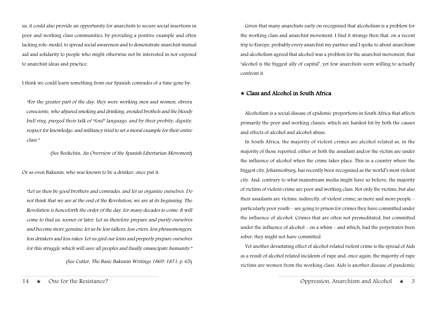us, it could also provide an opportunity for anarchists to secure social insertions in poor and working class communities, by providing a positive example and often lacking role-model, to spread social awareness and to demonstrate anarchist mutual aid and solidarity to people who might otherwise not be interested in nor exposed to anarchist ideas and practice.

I think we could learn something from our Spanish comrades of a time gone by:

"For the greater part of the day, they were working men and women, obrera consciente, who abjured smoking and drinking, avoided brothels and the bloody bull ring, purged their talk of "foul" language, and by their probity, dignity, respect for knowledge, and militancy tried to set a moral example for their entire class."

(See Bookchin, An Overview of the Spanish Libertarian Movement)

Or as even Bakunin, who was known to be a drinker, once put it:

"Let us then be good brothers and comrades, and let us organize ourselves. Do not think that we are at the end of the Revolution; we are at its beginning. The Revolution is henceforth the order of the day, for many decades to come. It will come to find us, sooner or later. Let us therefore prepare and purify ourselves and become more genuine, let us be less talkers, less criers, less phrasemongers, less drinkers and less rakes. Let us gird our loins and properly prepare ourselves for this struggle which will save all peoples and finally emancipate humanity."

(See Cutler, The Basic Bakunin Writings 1869-1871, p. 65)

Given that many anarchists early on recognised that alcoholism is a problem for the working class and anarchist movement, I find it strange then that, on a recent trip to Europe, probably every anarchist my partner and I spoke to about anarchism and alcoholism agreed that alcohol was a problem for the anarchist movement, that 'alcohol is the biggest ally of capital', yet few anarchists seem willing to actually confront it.

### $\star$  Class and Alcohol in South Africa

Alcoholism is a social disease of epidemic proportions in South Africa that affects primarily the poor and working classes, which are hardest hit by both the causes and effects of alcohol and alcohol abuse.

In South Africa, the majority of violent crimes are alcohol related as, in the majority of those reported, either or both the assailant and/or the victim are under the influence of alcohol when the crime takes place. This in a country where the biggest city, Johannesburg, has recently been recognised as the world's most violent city. And, contrary to what mainstream media might have us believe, the majority of victims of violent crime are poor and working class. Not only the victims, but also their assailants are victims, indirectly, of violent crime; as more and more people – particularly poor youth – are going to prison for crimes they have committed under the influence of alcohol. Crimes that are often not premeditated, but committed under the influence of alcohol - on a whim - and which, had the perpetrator been sober, they might not have committed.

Yet another devastating effect of alcohol related violent crime is the spread of Aids as a result of alcohol related incidents of rape and, once again, the majority of rape victims are women from the working class. Aids is another disease of pandemic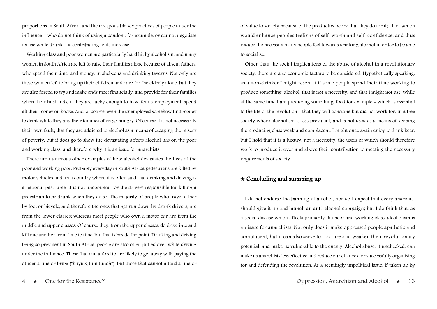proportions in South Africa, and the irresponsible sex practices of people under the influence – who do not think of using a condom, for example, or cannot negotiate its use while drunk – is contributing to its increase.

Working class and poor women are particularly hard hit by alcoholism, and many women in South Africa are left to raise their families alone because of absent fathers, who spend their time, and money, in shebeens and drinking taverns. Not only are these women left to bring up their children and care for the elderly alone, but they are also forced to try and make ends meet financially, and provide for their families when their husbands, if they are lucky enough to have found employment, spend all their money on booze. And, of course, even the unemployed somehow find money to drink while they and their families often go hungry. Of course it is not necessarily their own fault; that they are addicted to alcohol as a means of escaping the misery of poverty, but it does go to show the devastating affects alcohol has on the poor and working class, and therefore why it is an issue for anarchists.

There are numerous other examples of how alcohol devastates the lives of the poor and working poor. Probably everyday in South Africa pedestrians are killed by motor vehicles and, in a country where it is often said that drinking and driving is a national past-time, it is not uncommon for the drivers responsible for killing a pedestrian to be drunk when they do so. The majority of people who travel either by foot or bicycle, and therefore the ones that get run down by drunk drivers, are from the lower classes; whereas most people who own a motor car are from the middle and upper classes. Of course they, from the upper classes, do drive into and kill one another from time to time, but that is beside the point. Drinking and driving being so prevalent in South Africa, people are also often pulled over while driving under the influence. Those that can afford to are likely to get away with paying the officer a fine or bribe ("buying him lunch"), but those that cannot afford a fine or of value to society because of the productive work that they do for it; all of which would enhance peoples feelings of self-worth and self-confidence, and thus reduce the necessity many people feel towards drinking alcohol in order to be able to socialise.

Other than the social implications of the abuse of alcohol in a revolutionary society, there are also economic factors to be considered. Hypothetically speaking, as a non-drinker I might resent it if some people spend their time working to produce something, alcohol, that is not a necessity, and that I might not use, while at the same time I am producing something, food for example - which is essential to the life of the revolution - that they will consume but did not work for. In a free society where alcoholism is less prevalent, and is not used as a means of keeping the producing class weak and complacent, I might once again enjoy to drink beer, but I hold that it is a luxury, not a necessity, the users of which should therefore work to produce it over and above their contribution to meeting the necessary requirements of society.

#### $\star$  Concluding and summing up

I do not endorse the banning of alcohol, nor do I expect that every anarchist should give it up and launch an anti-alcohol campaign; but I do think that, as a social disease which affects primarily the poor and working class, alcoholism is an issue for anarchists. Not only does it make oppressed people apathetic and complacent, but it can also serve to fracture and weaken their revolutionary potential, and make us vulnerable to the enemy. Alcohol abuse, if unchecked, can make us anarchists less effective and reduce our chances for successfully organising for and defending the revolution. As a seemingly unpolitical issue, if taken up by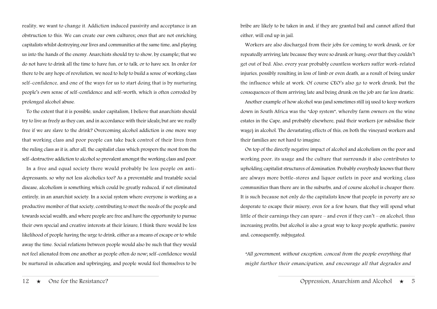reality, we want to change it. Addiction induced passivity and acceptance is an obstruction to this. We can create our own cultures; ones that are not enriching capitalists whilst destroying our lives and communities at the same time, and playing us into the hands of the enemy. Anarchists should try to show, by example; that we do not have to drink all the time to have fun, or to talk, or to have sex. In order for there to be any hope of revolution, we need to help to build a sense of working class self-confidence, and one of the ways for us to start doing that is by nurturing people's own sense of self-confidence and self-worth, which is often corroded by prolonged alcohol abuse.

To the extent that it is possible, under capitalism, I believe that anarchists should try to live as freely as they can, and in accordance with their ideals; but are we really free if we are slave to the drink? Overcoming alcohol addiction is one more way that working class and poor people can take back control of their lives from the ruling class as it is, after all, the capitalist class which prospers the most from the self-destructive addiction to alcohol so prevalent amongst the working class and poor.

In a free and equal society there would probably be less people on antidepressants, so why not less alcoholics too? As a preventable and treatable social disease, alcoholism is something which could be greatly reduced, if not eliminated entirely, in an anarchist society. In a social system where everyone is working as a productive member of that society, contributing to meet the needs of the people and towards social wealth, and where people are free and have the opportunity to pursue their own special and creative interests at their leisure, I think there would be less likelihood of people having the urge to drink, either as a means of escape or to while away the time. Social relations between people would also be such that they would not feel alienated from one another as people often do now; self-confidence would be nurtured in education and upbringing, and people would feel themselves to be bribe are likely to be taken in and, if they are granted bail and cannot afford that either, will end up in jail.

Workers are also discharged from their jobs for coming to work drunk, or for repeatedly arriving late because they were so drunk or hung-over that they couldn't get out of bed. Also, every year probably countless workers suffer work-related injuries, possibly resulting in loss of limb or even death, as a result of being under the influence while at work. Of course CEO's also go to work drunk, but the consequences of them arriving late and being drunk on the job are far less drastic.

Another example of how alcohol was (and sometimes still is) used to keep workers down in South Africa was the "dop system", whereby farm owners on the wine estates in the Cape, and probably elsewhere, paid their workers (or subsidise their wage) in alcohol. The devastating effects of this, on both the vineyard workers and their families are not hard to imagine.

On top of the directly negative impact of alcohol and alcoholism on the poor and working poor, its usage and the culture that surrounds it also contributes to upholding capitalist structures of domination. Probably everybody knows that there are always more bottle-stores and liquor outlets in poor and working class communities than there are in the suburbs, and of course alcohol is cheaper there. It is such because not only do the capitalists know that people in poverty are so desperate to escape their misery, even for a few hours, that they will spend what little of their earnings they can spare – and even if they can't – on alcohol, thus increasing profits, but alcohol is also a great way to keep people apathetic, passive and, consequently, subjugated.

"All government, without exception, conceal from the people everything that might further their emancipation, and encourage all that degrades and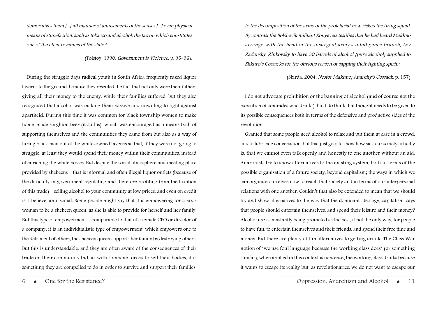demoralizes them [...] all manner of amusements of the senses [...] even physical means of stupefaction, such as tobacco and alcohol, the tax on which constitutes one of the chief revenues of the state."

(Tolstoy, 1990, Government is Violence, p. 95-96).

During the struggle days radical youth in South Africa frequently razed liquor taverns to the ground, because they resented the fact that not only were their fathers giving all their money to the enemy, while their families suffered, but they also recognised that alcohol was making them passive and unwilling to fight against apartheid. During this time it was common for black township women to make home-made sorghum beer (it still is), which was encouraged as a means both of supporting themselves and the communities they came from but also as a way of luring black men out of the white-owned taverns so that, if they were not going to struggle, at least they would spend their money within their communities, instead of enriching the white bosses. But despite the social atmosphere and meeting place provided by shebeens - that is informal and often illegal liquor outlets (because of the difficulty in government regulating and therefore profiting from the taxation of this trade) - selling alcohol to your community at low prices, and even on credit is, I believe, anti-social. Some people might say that it is empowering for a poor woman to be a shebeen queen, as she is able to provide for herself and her family. But this type of empowerment is comparable to that of a female CEO or director of a company; it is an individualistic type of empowerment, which empowers one to the detriment of others; the shebeen queen supports her family by destroying others. But this is understandable, and they are often aware of the consequences of their trade on their community but, as with someone forced to sell their bodies, it is something they are compelled to do in order to survive and support their families.

to the decomposition of the army of the proletariat now risked the firing squad. By contrast the Bolshevik militant Konyevets testifies that he had heard Makhno arrange with the head of the insurgent army's intelligence branch, Lev Zadonsky-Zinkovsky to have 30 barrels of alcohol (pure alcohol) supplied to Shkuro's Cossacks for the obvious reason of sapping their fighting spirit."

#### (Skirda, 2004, Nestor Makhno; Anarchy's Cossack, p. 157)

I do not advocate prohibition or the banning of alcohol (and of course not the execution of comrades who drink!), but I do think that thought needs to be given to its possible consequences both in terms of the defensive and productive sides of the revolution.

Granted that some people need alcohol to relax and put them at ease in a crowd, and to lubricate conversation, but that just goes to show how sick our society actually is, that we cannot even talk openly and honestly to one another without an aid. Anarchists try to show alternatives to the existing system, both in terms of the possible organisation of a future society, beyond capitalism; the ways in which we can organise ourselves now to reach that society and in terms of our interpersonal relations with one another. Couldn't that also be extended to mean that we should try and show alternatives to the way that the dominant ideology, capitalism, says that people should entertain themselves, and spend their leisure and their money? Alcohol use is constantly being promoted as the best, if not the only way, for people to have fun, to entertain themselves and their friends, and spend their free time and money. But there are plenty of fun alternatives to getting drunk. The Class War notion of "we use foul language because the working class does" (or something similar), when applied in this context is nonsense; the working class drinks because it wants to escape its reality but, as revolutionaries, we do not want to escape our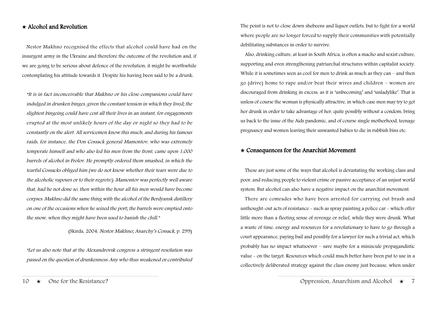#### $\star$  Alcohol and Revolution

Nestor Makhno recognised the effects that alcohol could have had on the insurgent army in the Ukraine and therefore the outcome of the revolution and, if we are going to be serious about defence of the revolution, it might be worthwhile contemplating his attitude towards it. Despite his having been said to be a drunk:

"It is in fact inconceivable that Makhno or his close companions could have indulged in drunken binges, given the constant tension in which they lived; the slightest bingeing could have cost all their lives in an instant, for engagements erupted at the most unlikely hours of the day or night so they had to be constantly on the alert. All servicemen know this much, and during his famous raids, for instance, the Don Cossack general Mamontov, who was extremely temperate himself and who also led his men from the front, came upon 1,000 barrels of alcohol in Frolov. He promptly ordered them smashed, in which the tearful Cossacks obliged him (we do not know whether their tears were due to the alcoholic vapours or to their regrets!). Mamontov was perfectly well aware that, had he not done so, then within the hour all his men would have become corpses. Makhno did the same thing with the alcohol of the Berdyansk distillery on one of the occasions when he seized the port; the barrels were emptied onto the snow, when they might have been used to banish the chill."

(Skirda, 2004, Nestor Makhno; Anarchy's Cossack, p. 299)

"Let us also note that at the Alexandrovsk congress a stringent resolution was passed on the question of drunkenness: Any who thus weakened or contributed The point is not to close down shebeens and liquor outlets, but to fight for a world where people are no longer forced to supply their communities with potentially debilitating substances in order to survive.

Also, drinking culture, at least in South Africa, is often a macho and sexist culture, supporting and even strengthening patriarchal structures within capitalist society. While it is sometimes seen as cool for men to drink as much as they can – and then go (drive) home to rape and/or beat their wives and children – women are discouraged from drinking in excess, as it is 'unbecoming' and 'unladylike'. That is unless of course the woman is physically attractive, in which case men may try to get her drunk in order to take advantage of her, quite possibly without a condom, bring us back to the issue of the Aids pandemic, and of course single motherhood, teenage pregnancy and women leaving their unwanted babies to die in rubbish bins etc.

#### $\star$  Consequences for the Anarchist Movement

These are just some of the ways that alcohol is devastating the working class and poor, and reducing people to violent crime or passive acceptance of an unjust world system. But alcohol can also have a negative impact on the anarchist movement.

There are comrades who have been arrested for carrying out brash and unthought-out acts of resistance - such as spray painting a police car - which offer little more than a fleeting sense of revenge or relief, while they were drunk. What a waste of time, energy and resources for a revolutionary to have to go through a court appearance, paying bail and possibly for a lawyer for such a trivial act, which probably has no impact whatsoever – save maybe for a miniscule propagandistic value - on the target. Resources which could much better have been put to use in a collectively deliberated strategy against the class enemy just because, when under

<sup>10</sup>